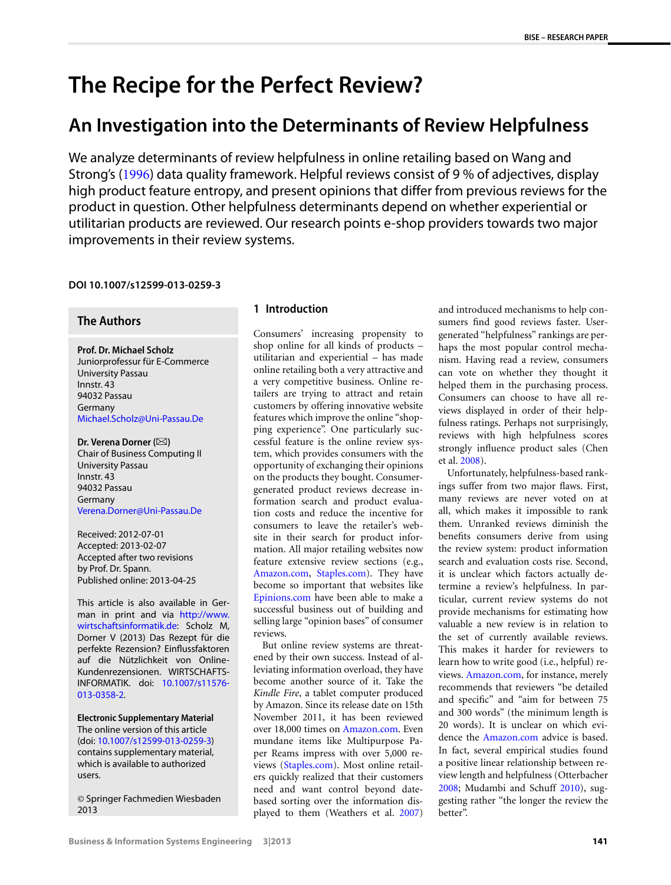# **The Recipe for the Perfect Review?**

## **An Investigation into the Determinants of Review Helpfulness**

We analyze determinants of review helpfulness in online retailing based on Wang and Strong's ([1996](#page-10-0)) data quality framework. Helpful reviews consist of 9 % of adjectives, display high product feature entropy, and present opinions that differ from previous reviews for the product in question. Other helpfulness determinants depend on whether experiential or utilitarian products are reviewed. Our research points e-shop providers towards two major improvements in their review systems.

### **DOI 10.1007/s12599-013-0259-3**

## **The Authors**

**Prof. Dr. Michael Scholz** Juniorprofessur für E-Commerce University Passau Innstr. 43 94032 Passau Germany [Michael.Scholz@Uni-Passau.De](mailto:Michael.Scholz@Uni-Passau.De)

Dr. Verena Dorner ( $\boxtimes$ ) Chair of Business Computing II University Passau Innstr. 43 94032 Passau Germany [Verena.Dorner@Uni-Passau.De](mailto:Verena.Dorner@Uni-Passau.De)

Received: 2012-07-01 Accepted: 2013-02-07 Accepted after two revisions by Prof. Dr. Spann. Published online: 2013-04-25

This article is also available in German in print and via [http://www.](http://www.wirtschaftsinformatik.de) [wirtschaftsinformatik.de:](http://www.wirtschaftsinformatik.de) Scholz M, Dorner V (2013) Das Rezept für die perfekte Rezension? Einflussfaktoren auf die Nützlichkeit von Online-Kundenrezensionen. WIRTSCHAFTS-INFORMATIK. doi: [10.1007/s11576-](http://dx.doi.org/10.1007/s11576-013-0358-2) [013-0358-2](http://dx.doi.org/10.1007/s11576-013-0358-2).

**Electronic Supplementary Material** The online version of this article (doi: [10.1007/s12599-013-0259-3](http://dx.doi.org/10.1007/s12599-013-0259-3)) contains supplementary material, which is available to authorized users.

© Springer Fachmedien Wiesbaden 2013

#### **1 Introduction**

Consumers' increasing propensity to shop online for all kinds of products – utilitarian and experiential – has made online retailing both a very attractive and a very competitive business. Online retailers are trying to attract and retain customers by offering innovative website features which improve the online "shopping experience". One particularly successful feature is the online review system, which provides consumers with the opportunity of exchanging their opinions on the products they bought. Consumergenerated product reviews decrease information search and product evaluation costs and reduce the incentive for consumers to leave the retailer's website in their search for product information. All major retailing websites now feature extensive review sections (e.g., [Amazon.com](http://Amazon.com), [Staples.com\)](http://Staples.com). They have become so important that websites like [Epinions.com](http://Epinions.com) have been able to make a successful business out of building and selling large "opinion bases" of consumer reviews.

But online review systems are threatened by their own success. Instead of alleviating information overload, they have become another source of it. Take the *Kindle Fire*, a tablet computer produced by Amazon. Since its release date on 15th November 2011, it has been reviewed over 18,000 times on [Amazon.com](http://Amazon.com). Even mundane items like Multipurpose Paper Reams impress with over 5,000 reviews ([Staples.com\)](http://Staples.com). Most online retailers quickly realized that their customers need and want control beyond datebased sorting over the information displayed to them (Weathers et al. [2007](#page-10-1)) and introduced mechanisms to help consumers find good reviews faster. Usergenerated "helpfulness" rankings are perhaps the most popular control mechanism. Having read a review, consumers can vote on whether they thought it helped them in the purchasing process. Consumers can choose to have all reviews displayed in order of their helpfulness ratings. Perhaps not surprisingly, reviews with high helpfulness scores strongly influence product sales (Chen et al. [2008](#page-9-0)).

Unfortunately, helpfulness-based rankings suffer from two major flaws. First, many reviews are never voted on at all, which makes it impossible to rank them. Unranked reviews diminish the benefits consumers derive from using the review system: product information search and evaluation costs rise. Second, it is unclear which factors actually determine a review's helpfulness. In particular, current review systems do not provide mechanisms for estimating how valuable a new review is in relation to the set of currently available reviews. This makes it harder for reviewers to learn how to write good (i.e., helpful) reviews. [Amazon.com,](http://Amazon.com) for instance, merely recommends that reviewers "be detailed and specific" and "aim for between 75 and 300 words" (the minimum length is 20 words). It is unclear on which evidence the [Amazon.com](http://Amazon.com) advice is based. In fact, several empirical studies found a positive linear relationship between review length and helpfulness (Otterbacher [2008](#page-10-2); Mudambi and Schuff [2010](#page-10-3)), suggesting rather "the longer the review the better".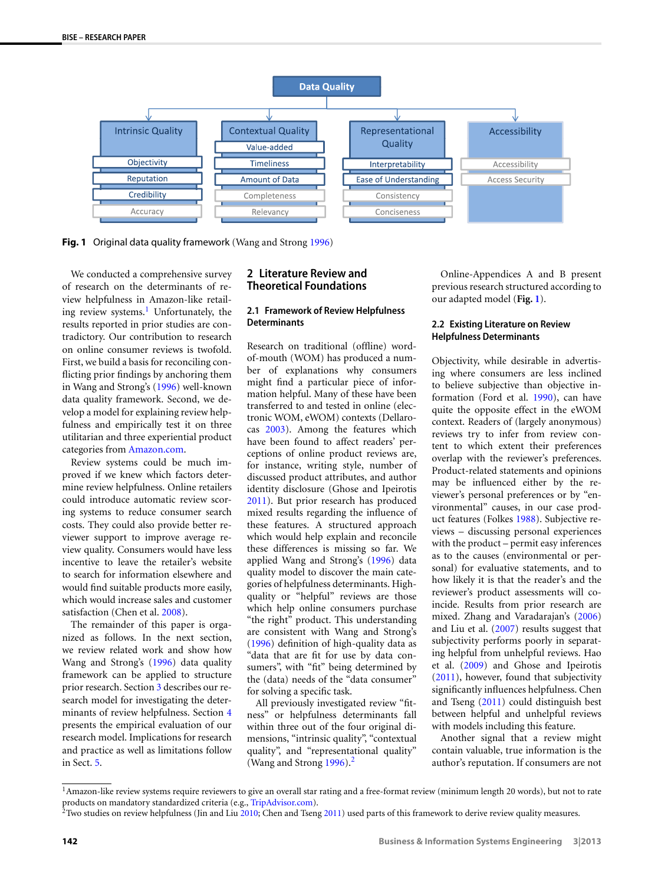<span id="page-1-2"></span>

**Fig. 1** Original data quality framework (Wang and Strong [1996](#page-10-0))

We conducted a comprehensive survey of research on the determinants of review helpfulness in Amazon-like retail-ing review systems.<sup>[1](#page-1-0)</sup> Unfortunately, the results reported in prior studies are contradictory. Our contribution to research on online consumer reviews is twofold. First, we build a basis for reconciling conflicting prior findings by anchoring them in Wang and Strong's [\(1996](#page-10-0)) well-known data quality framework. Second, we develop a model for explaining review helpfulness and empirically test it on three utilitarian and three experiential product categories from [Amazon.com](http://Amazon.com).

Review systems could be much improved if we knew which factors determine review helpfulness. Online retailers could introduce automatic review scoring systems to reduce consumer search costs. They could also provide better reviewer support to improve average review quality. Consumers would have less incentive to leave the retailer's website to search for information elsewhere and would find suitable products more easily, which would increase sales and customer satisfaction (Chen et al. [2008](#page-9-0)).

<span id="page-1-0"></span>The remainder of this paper is organized as follows. In the next section, we review related work and show how Wang and Strong's [\(1996](#page-10-0)) data quality framework can be applied to structure prior research. Section [3](#page-3-0) describes our research model for investigating the determinants of review helpfulness. Section [4](#page-4-0) presents the empirical evaluation of our research model. Implications for research and practice as well as limitations follow in Sect. [5](#page-8-0).

#### **2 Literature Review and Theoretical Foundations**

#### **2.1 Framework of Review Helpfulness Determinants**

Research on traditional (offline) wordof-mouth (WOM) has produced a number of explanations why consumers might find a particular piece of information helpful. Many of these have been transferred to and tested in online (electronic WOM, eWOM) contexts (Dellarocas [2003\)](#page-9-1). Among the features which have been found to affect readers' perceptions of online product reviews are, for instance, writing style, number of discussed product attributes, and author identity disclosure (Ghose and Ipeirotis [2011](#page-9-2)). But prior research has produced mixed results regarding the influence of these features. A structured approach which would help explain and reconcile these differences is missing so far. We applied Wang and Strong's [\(1996](#page-10-0)) data quality model to discover the main categories of helpfulness determinants. Highquality or "helpful" reviews are those which help online consumers purchase "the right" product. This understanding are consistent with Wang and Strong's [\(1996\)](#page-10-0) definition of high-quality data as "data that are fit for use by data consumers", with "fit" being determined by the (data) needs of the "data consumer" for solving a specific task.

All previously investigated review "fitness" or helpfulness determinants fall within three out of the four original dimensions, "intrinsic quality", "contextual quality", and "representational quality" (Wang and Strong  $1996$ ).<sup>2</sup>

<span id="page-1-3"></span>Online-Appendices A and B present previous research structured according to our adapted model (**Fig. [1](#page-1-2)**).

#### **2.2 Existing Literature on Review Helpfulness Determinants**

Objectivity, while desirable in advertising where consumers are less inclined to believe subjective than objective information (Ford et al. [1990\)](#page-9-3), can have quite the opposite effect in the eWOM context. Readers of (largely anonymous) reviews try to infer from review content to which extent their preferences overlap with the reviewer's preferences. Product-related statements and opinions may be influenced either by the reviewer's personal preferences or by "environmental" causes, in our case product features (Folkes [1988\)](#page-9-4). Subjective reviews – discussing personal experiences with the product – permit easy inferences as to the causes (environmental or personal) for evaluative statements, and to how likely it is that the reader's and the reviewer's product assessments will coincide. Results from prior research are mixed. Zhang and Varadarajan's [\(2006\)](#page-10-4) and Liu et al. ([2007\)](#page-10-5) results suggest that subjectivity performs poorly in separating helpful from unhelpful reviews. Hao et al. [\(2009](#page-9-5)) and Ghose and Ipeirotis [\(2011\)](#page-9-2), however, found that subjectivity significantly influences helpfulness. Chen and Tseng ([2011\)](#page-9-6) could distinguish best between helpful and unhelpful reviews with models including this feature.

Another signal that a review might contain valuable, true information is the author's reputation. If consumers are not

<span id="page-1-1"></span><sup>&</sup>lt;sup>1</sup> Amazon-like review systems require reviewers to give an overall star rating and a free-format review (minimum length 20 words), but not to rate products on mandatory standardized criteria (e.g., [TripAdvisor.com](http://TripAdvisor.com)).

 $2$ Two studies on review helpfulness (Jin and Liu  $2010$ ; Chen and Tseng [2011](#page-9-6)) used parts of this framework to derive review quality measures.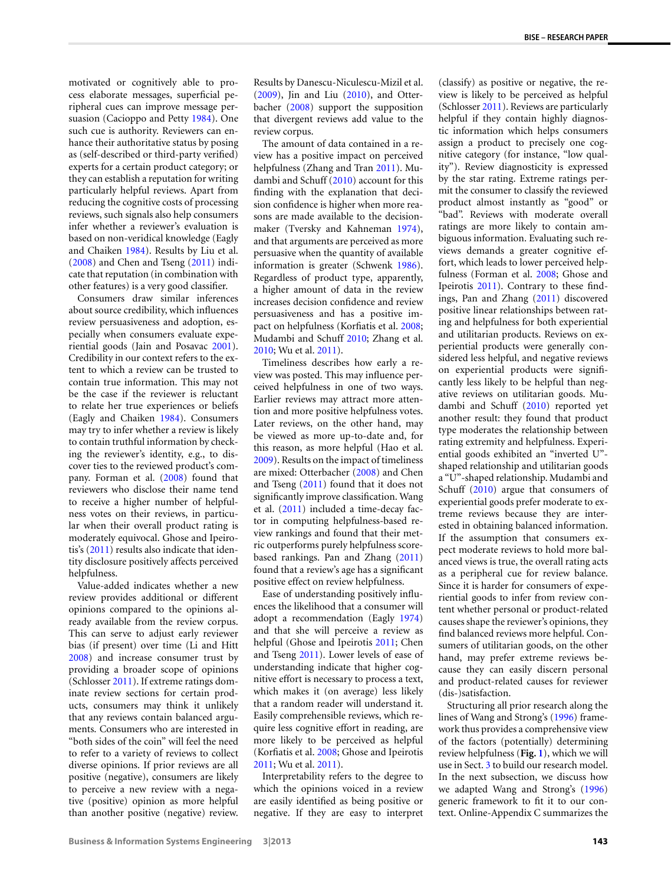(classify) as positive or negative, the re-

motivated or cognitively able to process elaborate messages, superficial peripheral cues can improve message persuasion (Cacioppo and Petty [1984](#page-9-8)). One such cue is authority. Reviewers can enhance their authoritative status by posing as (self-described or third-party verified) experts for a certain product category; or they can establish a reputation for writing particularly helpful reviews. Apart from reducing the cognitive costs of processing reviews, such signals also help consumers infer whether a reviewer's evaluation is based on non-veridical knowledge (Eagly and Chaiken [1984\)](#page-9-9). Results by Liu et al. [\(2008](#page-10-6)) and Chen and Tseng [\(2011](#page-9-6)) indicate that reputation (in combination with other features) is a very good classifier.

Consumers draw similar inferences about source credibility, which influences review persuasiveness and adoption, especially when consumers evaluate experiential goods (Jain and Posavac [2001](#page-9-10)). Credibility in our context refers to the extent to which a review can be trusted to contain true information. This may not be the case if the reviewer is reluctant to relate her true experiences or beliefs (Eagly and Chaiken [1984](#page-9-9)). Consumers may try to infer whether a review is likely to contain truthful information by checking the reviewer's identity, e.g., to discover ties to the reviewed product's company. Forman et al. ([2008\)](#page-9-11) found that reviewers who disclose their name tend to receive a higher number of helpfulness votes on their reviews, in particular when their overall product rating is moderately equivocal. Ghose and Ipeirotis's [\(2011](#page-9-2)) results also indicate that identity disclosure positively affects perceived helpfulness.

Value-added indicates whether a new review provides additional or different opinions compared to the opinions already available from the review corpus. This can serve to adjust early reviewer bias (if present) over time (Li and Hitt [2008\)](#page-10-7) and increase consumer trust by providing a broader scope of opinions (Schlosser [2011](#page-10-8)). If extreme ratings dominate review sections for certain products, consumers may think it unlikely that any reviews contain balanced arguments. Consumers who are interested in "both sides of the coin" will feel the need to refer to a variety of reviews to collect diverse opinions. If prior reviews are all positive (negative), consumers are likely to perceive a new review with a negative (positive) opinion as more helpful than another positive (negative) review.

Results by Danescu-Niculescu-Mizil et al. [\(2009\)](#page-9-12), Jin and Liu [\(2010](#page-9-7)), and Otterbacher [\(2008](#page-10-2)) support the supposition that divergent reviews add value to the review corpus.

The amount of data contained in a review has a positive impact on perceived helpfulness (Zhang and Tran [2011](#page-10-9)). Mudambi and Schuff [\(2010](#page-10-3)) account for this finding with the explanation that decision confidence is higher when more reasons are made available to the decisionmaker (Tversky and Kahneman [1974](#page-10-10)), and that arguments are perceived as more persuasive when the quantity of available information is greater (Schwenk [1986](#page-10-11)). Regardless of product type, apparently, a higher amount of data in the review increases decision confidence and review persuasiveness and has a positive impact on helpfulness (Korfiatis et al. [2008;](#page-9-13) Mudambi and Schuff [2010](#page-10-3); Zhang et al. [2010](#page-10-12); Wu et al. [2011](#page-10-13)).

Timeliness describes how early a review was posted. This may influence perceived helpfulness in one of two ways. Earlier reviews may attract more attention and more positive helpfulness votes. Later reviews, on the other hand, may be viewed as more up-to-date and, for this reason, as more helpful (Hao et al. [2009](#page-9-5)). Results on the impact of timeliness are mixed: Otterbacher ([2008\)](#page-10-2) and Chen and Tseng [\(2011](#page-9-6)) found that it does not significantly improve classification. Wang et al. [\(2011](#page-10-14)) included a time-decay factor in computing helpfulness-based review rankings and found that their metric outperforms purely helpfulness scorebased rankings. Pan and Zhang [\(2011](#page-10-15)) found that a review's age has a significant positive effect on review helpfulness.

Ease of understanding positively influences the likelihood that a consumer will adopt a recommendation (Eagly [1974](#page-9-14)) and that she will perceive a review as helpful (Ghose and Ipeirotis [2011](#page-9-2); Chen and Tseng [2011\)](#page-9-6). Lower levels of ease of understanding indicate that higher cognitive effort is necessary to process a text, which makes it (on average) less likely that a random reader will understand it. Easily comprehensible reviews, which require less cognitive effort in reading, are more likely to be perceived as helpful (Korfiatis et al. [2008](#page-9-13); Ghose and Ipeirotis [2011](#page-9-2); Wu et al. [2011](#page-10-13)).

Interpretability refers to the degree to which the opinions voiced in a review are easily identified as being positive or negative. If they are easy to interpret

view is likely to be perceived as helpful (Schlosser [2011](#page-10-8)). Reviews are particularly helpful if they contain highly diagnostic information which helps consumers assign a product to precisely one cognitive category (for instance, "low quality"). Review diagnosticity is expressed by the star rating. Extreme ratings permit the consumer to classify the reviewed product almost instantly as "good" or "bad". Reviews with moderate overall ratings are more likely to contain ambiguous information. Evaluating such reviews demands a greater cognitive effort, which leads to lower perceived helpfulness (Forman et al. [2008;](#page-9-11) Ghose and Ipeirotis [2011\)](#page-9-2). Contrary to these findings, Pan and Zhang ([2011\)](#page-10-15) discovered positive linear relationships between rating and helpfulness for both experiential and utilitarian products. Reviews on experiential products were generally considered less helpful, and negative reviews on experiential products were significantly less likely to be helpful than negative reviews on utilitarian goods. Mudambi and Schuff [\(2010](#page-10-3)) reported yet another result: they found that product type moderates the relationship between rating extremity and helpfulness. Experiential goods exhibited an "inverted U" shaped relationship and utilitarian goods a "U"-shaped relationship. Mudambi and Schuff ([2010\)](#page-10-3) argue that consumers of experiential goods prefer moderate to extreme reviews because they are interested in obtaining balanced information. If the assumption that consumers expect moderate reviews to hold more balanced views is true, the overall rating acts as a peripheral cue for review balance. Since it is harder for consumers of experiential goods to infer from review content whether personal or product-related causes shape the reviewer's opinions, they find balanced reviews more helpful. Consumers of utilitarian goods, on the other hand, may prefer extreme reviews because they can easily discern personal and product-related causes for reviewer (dis-)satisfaction.

Structuring all prior research along the lines of Wang and Strong's ([1996\)](#page-10-0) framework thus provides a comprehensive view of the factors (potentially) determining review helpfulness (**Fig. [1](#page-1-2)**), which we will use in Sect. [3](#page-3-0) to build our research model. In the next subsection, we discuss how we adapted Wang and Strong's [\(1996\)](#page-10-0) generic framework to fit it to our context. Online-Appendix C summarizes the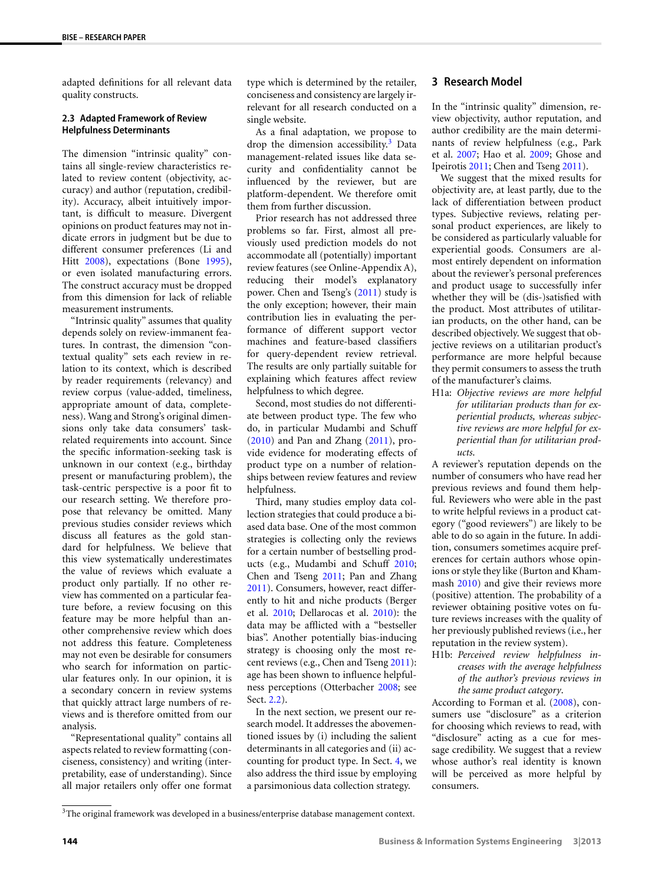<span id="page-3-2"></span>adapted definitions for all relevant data quality constructs.

#### **2.3 Adapted Framework of Review Helpfulness Determinants**

The dimension "intrinsic quality" contains all single-review characteristics related to review content (objectivity, accuracy) and author (reputation, credibility). Accuracy, albeit intuitively important, is difficult to measure. Divergent opinions on product features may not indicate errors in judgment but be due to different consumer preferences (Li and Hitt [2008\)](#page-10-7), expectations (Bone [1995](#page-9-15)), or even isolated manufacturing errors. The construct accuracy must be dropped from this dimension for lack of reliable measurement instruments.

"Intrinsic quality" assumes that quality depends solely on review-immanent features. In contrast, the dimension "contextual quality" sets each review in relation to its context, which is described by reader requirements (relevancy) and review corpus (value-added, timeliness, appropriate amount of data, completeness). Wang and Strong's original dimensions only take data consumers' taskrelated requirements into account. Since the specific information-seeking task is unknown in our context (e.g., birthday present or manufacturing problem), the task-centric perspective is a poor fit to our research setting. We therefore propose that relevancy be omitted. Many previous studies consider reviews which discuss all features as the gold standard for helpfulness. We believe that this view systematically underestimates the value of reviews which evaluate a product only partially. If no other review has commented on a particular feature before, a review focusing on this feature may be more helpful than another comprehensive review which does not address this feature. Completeness may not even be desirable for consumers who search for information on particular features only. In our opinion, it is a secondary concern in review systems that quickly attract large numbers of reviews and is therefore omitted from our analysis.

<span id="page-3-1"></span>"Representational quality" contains all aspects related to review formatting (conciseness, consistency) and writing (interpretability, ease of understanding). Since all major retailers only offer one format

type which is determined by the retailer, conciseness and consistency are largely irrelevant for all research conducted on a single website.

As a final adaptation, we propose to drop the dimension accessibility.<sup>[3](#page-3-1)</sup> Data management-related issues like data security and confidentiality cannot be influenced by the reviewer, but are platform-dependent. We therefore omit them from further discussion.

Prior research has not addressed three problems so far. First, almost all previously used prediction models do not accommodate all (potentially) important review features (see Online-Appendix A), reducing their model's explanatory power. Chen and Tseng's [\(2011](#page-9-6)) study is the only exception; however, their main contribution lies in evaluating the performance of different support vector machines and feature-based classifiers for query-dependent review retrieval. The results are only partially suitable for explaining which features affect review helpfulness to which degree.

Second, most studies do not differentiate between product type. The few who do, in particular Mudambi and Schuff [\(2010\)](#page-10-3) and Pan and Zhang [\(2011](#page-10-15)), provide evidence for moderating effects of product type on a number of relationships between review features and review helpfulness.

Third, many studies employ data collection strategies that could produce a biased data base. One of the most common strategies is collecting only the reviews for a certain number of bestselling products (e.g., Mudambi and Schuff [2010;](#page-10-3) Chen and Tseng [2011](#page-9-6); Pan and Zhang [2011](#page-10-15)). Consumers, however, react differently to hit and niche products (Berger et al. [2010;](#page-9-16) Dellarocas et al. [2010](#page-9-17)): the data may be afflicted with a "bestseller bias". Another potentially bias-inducing strategy is choosing only the most recent reviews (e.g., Chen and Tseng [2011](#page-9-6)): age has been shown to influence helpfulness perceptions (Otterbacher [2008;](#page-10-2) see Sect. [2.2](#page-1-3)).

In the next section, we present our research model. It addresses the abovementioned issues by (i) including the salient determinants in all categories and (ii) accounting for product type. In Sect. [4,](#page-4-0) we also address the third issue by employing a parsimonious data collection strategy.

#### <span id="page-3-0"></span>**3 Research Model**

In the "intrinsic quality" dimension, review objectivity, author reputation, and author credibility are the main determinants of review helpfulness (e.g., Park et al. [2007;](#page-10-16) Hao et al. [2009](#page-9-5); Ghose and Ipeirotis [2011;](#page-9-2) Chen and Tseng [2011](#page-9-6)).

We suggest that the mixed results for objectivity are, at least partly, due to the lack of differentiation between product types. Subjective reviews, relating personal product experiences, are likely to be considered as particularly valuable for experiential goods. Consumers are almost entirely dependent on information about the reviewer's personal preferences and product usage to successfully infer whether they will be (dis-)satisfied with the product. Most attributes of utilitarian products, on the other hand, can be described objectively. We suggest that objective reviews on a utilitarian product's performance are more helpful because they permit consumers to assess the truth of the manufacturer's claims.

H1a: *Objective reviews are more helpful for utilitarian products than for experiential products, whereas subjective reviews are more helpful for experiential than for utilitarian products*.

A reviewer's reputation depends on the number of consumers who have read her previous reviews and found them helpful. Reviewers who were able in the past to write helpful reviews in a product category ("good reviewers") are likely to be able to do so again in the future. In addition, consumers sometimes acquire preferences for certain authors whose opinions or style they like (Burton and Khammash [2010](#page-9-18)) and give their reviews more (positive) attention. The probability of a reviewer obtaining positive votes on future reviews increases with the quality of her previously published reviews (i.e., her reputation in the review system).

H1b: *Perceived review helpfulness increases with the average helpfulness of the author's previous reviews in the same product category*.

According to Forman et al. ([2008\)](#page-9-11), consumers use "disclosure" as a criterion for choosing which reviews to read, with "disclosure" acting as a cue for message credibility. We suggest that a review whose author's real identity is known will be perceived as more helpful by consumers.

<sup>&</sup>lt;sup>3</sup>The original framework was developed in a business/enterprise database management context.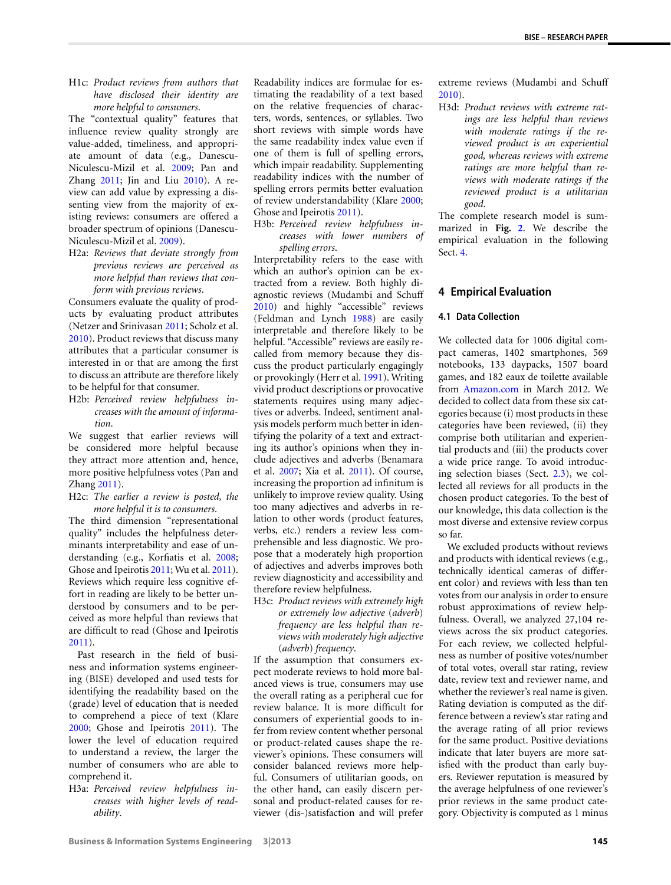H1c: *Product reviews from authors that have disclosed their identity are more helpful to consumers*.

The "contextual quality" features that influence review quality strongly are value-added, timeliness, and appropriate amount of data (e.g., Danescu-Niculescu-Mizil et al. [2009](#page-9-12); Pan and Zhang  $2011$ ; Jin and Liu  $2010$ ). A review can add value by expressing a dissenting view from the majority of existing reviews: consumers are offered a broader spectrum of opinions (Danescu-Niculescu-Mizil et al. [2009\)](#page-9-12).

H2a: *Reviews that deviate strongly from previous reviews are perceived as more helpful than reviews that conform with previous reviews*.

Consumers evaluate the quality of products by evaluating product attributes (Netzer and Srinivasan [2011](#page-10-17); Scholz et al. [2010\)](#page-10-18). Product reviews that discuss many attributes that a particular consumer is interested in or that are among the first to discuss an attribute are therefore likely to be helpful for that consumer.

H2b: *Perceived review helpfulness increases with the amount of information*.

We suggest that earlier reviews will be considered more helpful because they attract more attention and, hence, more positive helpfulness votes (Pan and Zhang [2011](#page-10-15)).

H2c: *The earlier a review is posted, the more helpful it is to consumers*.

The third dimension "representational quality" includes the helpfulness determinants interpretability and ease of understanding (e.g., Korfiatis et al. [2008;](#page-9-13) Ghose and Ipeirotis [2011;](#page-9-2) Wu et al. [2011](#page-10-13)). Reviews which require less cognitive effort in reading are likely to be better understood by consumers and to be perceived as more helpful than reviews that are difficult to read (Ghose and Ipeirotis [2011\)](#page-9-2).

Past research in the field of business and information systems engineering (BISE) developed and used tests for identifying the readability based on the (grade) level of education that is needed to comprehend a piece of text (Klare [2000;](#page-9-19) Ghose and Ipeirotis [2011](#page-9-2)). The lower the level of education required to understand a review, the larger the number of consumers who are able to comprehend it.

H3a: *Perceived review helpfulness increases with higher levels of readability*.

Readability indices are formulae for estimating the readability of a text based on the relative frequencies of characters, words, sentences, or syllables. Two short reviews with simple words have the same readability index value even if one of them is full of spelling errors, which impair readability. Supplementing readability indices with the number of spelling errors permits better evaluation of review understandability (Klare [2000;](#page-9-19) Ghose and Ipeirotis [2011](#page-9-2)).

H3b: *Perceived review helpfulness increases with lower numbers of spelling errors*.

Interpretability refers to the ease with which an author's opinion can be extracted from a review. Both highly diagnostic reviews (Mudambi and Schuff [2010](#page-10-3)) and highly "accessible" reviews (Feldman and Lynch [1988](#page-9-20)) are easily interpretable and therefore likely to be helpful. "Accessible" reviews are easily recalled from memory because they discuss the product particularly engagingly or provokingly (Herr et al. [1991](#page-9-21)). Writing vivid product descriptions or provocative statements requires using many adjectives or adverbs. Indeed, sentiment analysis models perform much better in identifying the polarity of a text and extracting its author's opinions when they include adjectives and adverbs (Benamara et al. [2007](#page-9-22); Xia et al. [2011](#page-10-19)). Of course, increasing the proportion ad infinitum is unlikely to improve review quality. Using too many adjectives and adverbs in relation to other words (product features, verbs, etc.) renders a review less comprehensible and less diagnostic. We propose that a moderately high proportion of adjectives and adverbs improves both review diagnosticity and accessibility and therefore review helpfulness.

H3c: *Product reviews with extremely high or extremely low adjective* (*adverb*) *frequency are less helpful than reviews with moderately high adjective* (*adverb*) *frequency*.

If the assumption that consumers expect moderate reviews to hold more balanced views is true, consumers may use the overall rating as a peripheral cue for review balance. It is more difficult for consumers of experiential goods to infer from review content whether personal or product-related causes shape the reviewer's opinions. These consumers will consider balanced reviews more helpful. Consumers of utilitarian goods, on the other hand, can easily discern personal and product-related causes for reviewer (dis-)satisfaction and will prefer extreme reviews (Mudambi and Schuff [2010](#page-10-3)).

H3d: *Product reviews with extreme ratings are less helpful than reviews with moderate ratings if the reviewed product is an experiential good, whereas reviews with extreme ratings are more helpful than reviews with moderate ratings if the reviewed product is a utilitarian good*.

<span id="page-4-0"></span>The complete research model is summarized in **Fig. [2](#page-5-0)**. We describe the empirical evaluation in the following Sect. [4](#page-4-0).

#### **4 Empirical Evaluation**

#### **4.1 Data Collection**

We collected data for 1006 digital compact cameras, 1402 smartphones, 569 notebooks, 133 daypacks, 1507 board games, and 182 eaux de toilette available from [Amazon.com](http://Amazon.com) in March 2012. We decided to collect data from these six categories because (i) most products in these categories have been reviewed, (ii) they comprise both utilitarian and experiential products and (iii) the products cover a wide price range. To avoid introducing selection biases (Sect. [2.3](#page-3-2)), we collected all reviews for all products in the chosen product categories. To the best of our knowledge, this data collection is the most diverse and extensive review corpus so far.

We excluded products without reviews and products with identical reviews (e.g., technically identical cameras of different color) and reviews with less than ten votes from our analysis in order to ensure robust approximations of review helpfulness. Overall, we analyzed 27,104 reviews across the six product categories. For each review, we collected helpfulness as number of positive votes/number of total votes, overall star rating, review date, review text and reviewer name, and whether the reviewer's real name is given. Rating deviation is computed as the difference between a review's star rating and the average rating of all prior reviews for the same product. Positive deviations indicate that later buyers are more satisfied with the product than early buyers. Reviewer reputation is measured by the average helpfulness of one reviewer's prior reviews in the same product category. Objectivity is computed as 1 minus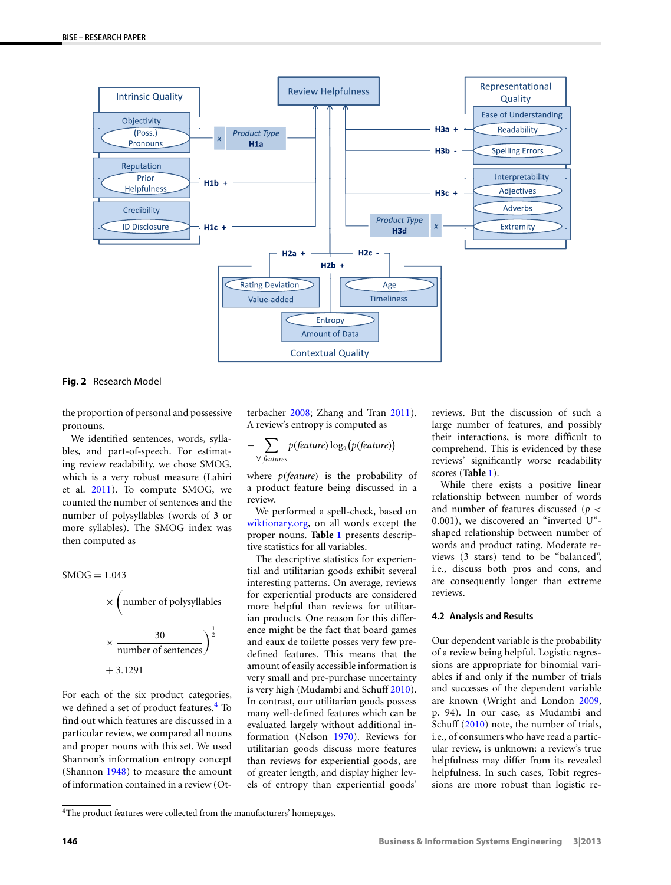

<span id="page-5-0"></span>**Fig. 2** Research Model

the proportion of personal and possessive pronouns.

We identified sentences, words, syllables, and part-of-speech. For estimating review readability, we chose SMOG, which is a very robust measure (Lahiri et al. [2011\)](#page-9-23). To compute SMOG, we counted the number of sentences and the number of polysyllables (words of 3 or more syllables). The SMOG index was then computed as

$$
SMOG = 1.043
$$
  
\n
$$
\times \left(\text{number of polysyllables}\right)
$$
  
\n
$$
\times \frac{30}{\text{number of sentences}}\right)^{\frac{1}{2}}
$$
  
\n+ 3.1291

<span id="page-5-1"></span>For each of the six product categories, we defined a set of product features.<sup>[4](#page-5-1)</sup> To find out which features are discussed in a particular review, we compared all nouns and proper nouns with this set. We used Shannon's information entropy concept (Shannon [1948](#page-10-20)) to measure the amount of information contained in a review (Otterbacher [2008;](#page-10-2) Zhang and Tran [2011](#page-10-9)). A review's entropy is computed as

$$
- \sum_{\forall \text{ features}} p(\text{feature}) \log_2(p(\text{feature}))
$$

where *p(feature)* is the probability of a product feature being discussed in a review.

We performed a spell-check, based on [wiktionary.org,](http://wiktionary.org) on all words except the proper nouns. **Table [1](#page-6-0)** presents descriptive statistics for all variables.

The descriptive statistics for experiential and utilitarian goods exhibit several interesting patterns. On average, reviews for experiential products are considered more helpful than reviews for utilitarian products. One reason for this difference might be the fact that board games and eaux de toilette posses very few predefined features. This means that the amount of easily accessible information is very small and pre-purchase uncertainty is very high (Mudambi and Schuff [2010](#page-10-3)). In contrast, our utilitarian goods possess many well-defined features which can be evaluated largely without additional information (Nelson [1970](#page-10-21)). Reviews for utilitarian goods discuss more features than reviews for experiential goods, are of greater length, and display higher levels of entropy than experiential goods'

reviews. But the discussion of such a large number of features, and possibly their interactions, is more difficult to comprehend. This is evidenced by these reviews' significantly worse readability scores (**Table [1](#page-6-0)**).

<span id="page-5-2"></span>While there exists a positive linear relationship between number of words and number of features discussed (*p <* 0*.*001), we discovered an "inverted U" shaped relationship between number of words and product rating. Moderate reviews (3 stars) tend to be "balanced", i.e., discuss both pros and cons, and are consequently longer than extreme reviews.

#### **4.2 Analysis and Results**

Our dependent variable is the probability of a review being helpful. Logistic regressions are appropriate for binomial variables if and only if the number of trials and successes of the dependent variable are known (Wright and London [2009,](#page-10-22) p. 94). In our case, as Mudambi and Schuff [\(2010](#page-10-3)) note, the number of trials, i.e., of consumers who have read a particular review, is unknown: a review's true helpfulness may differ from its revealed helpfulness. In such cases, Tobit regressions are more robust than logistic re-

<sup>4</sup>The product features were collected from the manufacturers' homepages.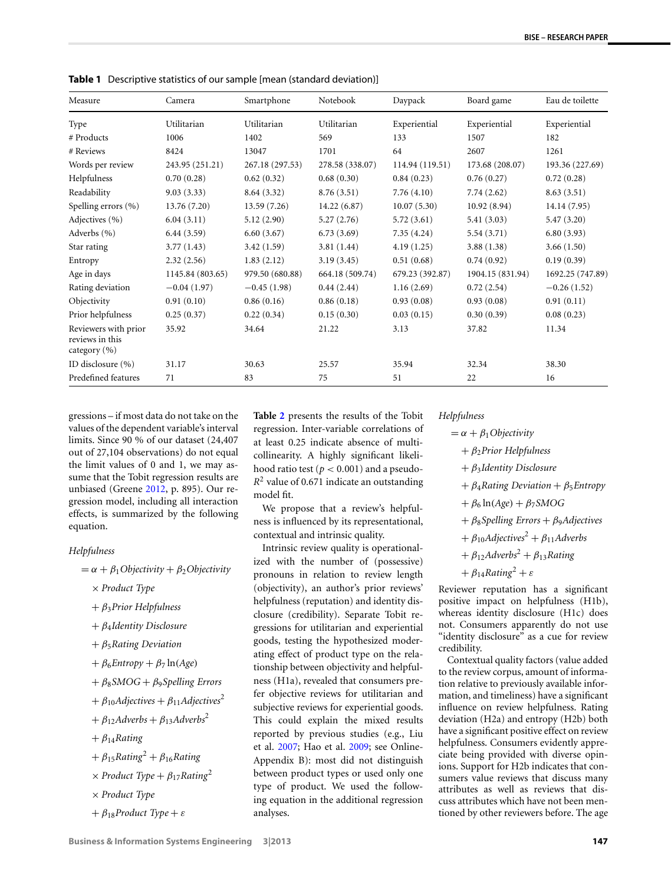| Measure                                                     | Camera           | Smartphone      | Notebook        | Daypack         | Board game       | Eau de toilette  |
|-------------------------------------------------------------|------------------|-----------------|-----------------|-----------------|------------------|------------------|
| Type                                                        | Utilitarian      | Utilitarian     | Utilitarian     | Experiential    | Experiential     | Experiential     |
| # Products                                                  | 1006             | 1402            | 569             | 133             | 1507             | 182              |
| # Reviews                                                   | 8424             | 13047           | 1701            | 64              | 2607             | 1261             |
| Words per review                                            | 243.95 (251.21)  | 267.18 (297.53) | 278.58 (338.07) | 114.94 (119.51) | 173.68 (208.07)  | 193.36 (227.69)  |
| Helpfulness                                                 | 0.70(0.28)       | 0.62(0.32)      | 0.68(0.30)      | 0.84(0.23)      | 0.76(0.27)       | 0.72(0.28)       |
| Readability                                                 | 9.03(3.33)       | 8.64 (3.32)     | 8.76(3.51)      | 7.76(4.10)      | 7.74(2.62)       | 8.63(3.51)       |
| Spelling errors (%)                                         | 13.76(7.20)      | 13.59(7.26)     | 14.22(6.87)     | 10.07(5.30)     | 10.92(8.94)      | 14.14 (7.95)     |
| Adjectives (%)                                              | 6.04(3.11)       | 5.12(2.90)      | 5.27(2.76)      | 5.72(3.61)      | 5.41(3.03)       | 5.47(3.20)       |
| Adverbs (%)                                                 | 6.44(3.59)       | 6.60(3.67)      | 6.73(3.69)      | 7.35(4.24)      | 5.54(3.71)       | 6.80(3.93)       |
| Star rating                                                 | 3.77(1.43)       | 3.42(1.59)      | 3.81(1.44)      | 4.19(1.25)      | 3.88(1.38)       | 3.66(1.50)       |
| Entropy                                                     | 2.32(2.56)       | 1.83(2.12)      | 3.19(3.45)      | 0.51(0.68)      | 0.74(0.92)       | 0.19(0.39)       |
| Age in days                                                 | 1145.84 (803.65) | 979.50 (680.88) | 664.18 (509.74) | 679.23 (392.87) | 1904.15 (831.94) | 1692.25 (747.89) |
| Rating deviation                                            | $-0.04(1.97)$    | $-0.45(1.98)$   | 0.44(2.44)      | 1.16(2.69)      | 0.72(2.54)       | $-0.26(1.52)$    |
| Objectivity                                                 | 0.91(0.10)       | 0.86(0.16)      | 0.86(0.18)      | 0.93(0.08)      | 0.93(0.08)       | 0.91(0.11)       |
| Prior helpfulness                                           | 0.25(0.37)       | 0.22(0.34)      | 0.15(0.30)      | 0.03(0.15)      | 0.30(0.39)       | 0.08(0.23)       |
| Reviewers with prior<br>reviews in this<br>category $(\% )$ | 35.92            | 34.64           | 21.22           | 3.13            | 37.82            | 11.34            |
| ID disclosure (%)                                           | 31.17            | 30.63           | 25.57           | 35.94           | 32.34            | 38.30            |
| Predefined features                                         | 71               | 83              | 75              | 51              | 22               | 16               |

<span id="page-6-0"></span>**Table 1** Descriptive statistics of our sample [mean (standard deviation)]

gressions – if most data do not take on the values of the dependent variable's interval limits. Since 90 % of our dataset (24,407 out of 27,104 observations) do not equal the limit values of 0 and 1, we may assume that the Tobit regression results are unbiased (Greene [2012](#page-9-24), p. 895). Our regression model, including all interaction effects, is summarized by the following equation.

#### *Helpfulness*

- $= \alpha + \beta_1$ *Objectivity* +  $\beta_2$ *Objectivity* 
	- × *Product Type*
	- + *β*3*Prior Helpfulness*
	- + *β*4*Identity Disclosure*
	- + *β*5*Rating Deviation*
	- $+ \beta_6$ *Entropy* +  $\beta_7$  ln(*Age*)
	- + *β*8*SMOG* + *β*9*Spelling Errors*
	- $+ \beta_{10}$ *Adjectives*  $+ \beta_{11}$ *Adjectives*<sup>2</sup>
	- $+ \beta_{12}$ *Adverbs* +  $\beta_{13}$ *Adverbs*<sup>2</sup>
	- + *β*14*Rating*
	- $+ \beta_{15}$ *Rating*<sup>2</sup> +  $\beta_{16}$ *Rating*
	- $\times$  *Product Type* +  $\beta_{17}$ *Rating*<sup>2</sup>
	- × *Product Type*
	- + *β*18*Product Type* + *ε*

**Table [2](#page-7-0)** presents the results of the Tobit regression. Inter-variable correlations of at least 0.25 indicate absence of multicollinearity. A highly significant likelihood ratio test ( $p < 0.001$ ) and a pseudo-*R*<sup>2</sup> value of 0.671 indicate an outstanding model fit.

We propose that a review's helpfulness is influenced by its representational, contextual and intrinsic quality.

Intrinsic review quality is operationalized with the number of (possessive) pronouns in relation to review length (objectivity), an author's prior reviews' helpfulness (reputation) and identity disclosure (credibility). Separate Tobit regressions for utilitarian and experiential goods, testing the hypothesized moderating effect of product type on the relationship between objectivity and helpfulness (H1a), revealed that consumers prefer objective reviews for utilitarian and subjective reviews for experiential goods. This could explain the mixed results reported by previous studies (e.g., Liu et al. [2007](#page-10-5); Hao et al. [2009](#page-9-5); see Online-Appendix B): most did not distinguish between product types or used only one type of product. We used the following equation in the additional regression analyses.

*Helpfulness*

 $= \alpha + \beta_1$ *Objectivity* + *β*2*Prior Helpfulness* + *β*3*Identity Disclosure* + *β*4*Rating Deviation* + *β*5*Entropy*  $+ \beta_6 \ln(Age) + \beta_7 SMOG$ + *β*8*Spelling Errors* + *β*9*Adjectives*  $+ \beta_{10}$ *Adjectives*<sup>2</sup> +  $\beta_{11}$ *Adverbs*  $+ \beta_{12}$ *Adverbs*<sup>2</sup> +  $\beta_{13}$ *Rating*  $+ \beta_{14}$ *Rating*<sup>2</sup> + *ε* 

Reviewer reputation has a significant positive impact on helpfulness (H1b), whereas identity disclosure (H1c) does not. Consumers apparently do not use "identity disclosure" as a cue for review credibility.

Contextual quality factors (value added to the review corpus, amount of information relative to previously available information, and timeliness) have a significant influence on review helpfulness. Rating deviation (H2a) and entropy (H2b) both have a significant positive effect on review helpfulness. Consumers evidently appreciate being provided with diverse opinions. Support for H2b indicates that consumers value reviews that discuss many attributes as well as reviews that discuss attributes which have not been mentioned by other reviewers before. The age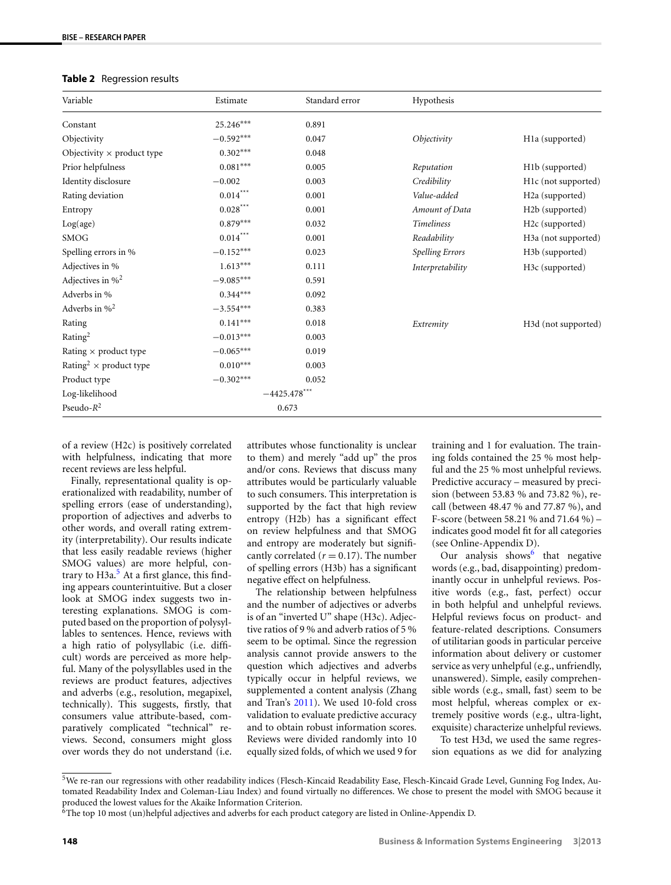#### <span id="page-7-0"></span>**Table 2** Regression results

| Variable                                  | Estimate        | Standard error | Hypothesis             |                                  |
|-------------------------------------------|-----------------|----------------|------------------------|----------------------------------|
| Constant                                  | 25.246***       | 0.891          |                        |                                  |
| Objectivity                               | $-0.592***$     | 0.047          | Objectivity            | H1a (supported)                  |
| Objectivity $\times$ product type         | $0.302***$      | 0.048          |                        |                                  |
| Prior helpfulness                         | $0.081***$      | 0.005          | Reputation             | H1b (supported)                  |
| Identity disclosure                       | $-0.002$        | 0.003          | Credibility            | H1c (not supported)              |
| Rating deviation                          | $0.014***$      | 0.001          | Value-added            | H <sub>2a</sub> (supported)      |
| Entropy                                   | $0.028***$      | 0.001          | Amount of Data         | H <sub>2</sub> b (supported)     |
| Log(age)                                  | $0.879***$      | 0.032          | <b>Timeliness</b>      | H <sub>2</sub> c (supported)     |
| <b>SMOG</b>                               | $0.014***$      | 0.001          | Readability            | H <sub>3</sub> a (not supported) |
| Spelling errors in %                      | $-0.152***$     | 0.023          | <b>Spelling Errors</b> | H <sub>3</sub> b (supported)     |
| Adjectives in %                           | $1.613***$      | 0.111          | Interpretability       | H3c (supported)                  |
| Adjectives in $\%^2$                      | $-9.085***$     | 0.591          |                        |                                  |
| Adverbs in %                              | $0.344***$      | 0.092          |                        |                                  |
| Adverbs in $\%^2$                         | $-3.554***$     | 0.383          |                        |                                  |
| Rating                                    | $0.141***$      | 0.018          | Extremity              | H <sub>3</sub> d (not supported) |
| Rating <sup>2</sup>                       | $-0.013***$     | 0.003          |                        |                                  |
| Rating $\times$ product type              | $-0.065***$     | 0.019          |                        |                                  |
| Rating <sup>2</sup> $\times$ product type | $0.010***$      | 0.003          |                        |                                  |
| Product type                              | $-0.302***$     | 0.052          |                        |                                  |
| Log-likelihood                            | $-4425.478$ *** |                |                        |                                  |
| Pseudo- $R^2$                             |                 | 0.673          |                        |                                  |

of a review (H2c) is positively correlated with helpfulness, indicating that more recent reviews are less helpful.

Finally, representational quality is operationalized with readability, number of spelling errors (ease of understanding), proportion of adjectives and adverbs to other words, and overall rating extremity (interpretability). Our results indicate that less easily readable reviews (higher SMOG values) are more helpful, contrary to  $H3a$ <sup>5</sup> At a first glance, this finding appears counterintuitive. But a closer look at SMOG index suggests two interesting explanations. SMOG is computed based on the proportion of polysyllables to sentences. Hence, reviews with a high ratio of polysyllabic (i.e. difficult) words are perceived as more helpful. Many of the polysyllables used in the reviews are product features, adjectives and adverbs (e.g., resolution, megapixel, technically). This suggests, firstly, that consumers value attribute-based, comparatively complicated "technical" reviews. Second, consumers might gloss over words they do not understand (i.e.

attributes whose functionality is unclear to them) and merely "add up" the pros and/or cons. Reviews that discuss many attributes would be particularly valuable to such consumers. This interpretation is supported by the fact that high review entropy (H2b) has a significant effect on review helpfulness and that SMOG and entropy are moderately but significantly correlated  $(r = 0.17)$ . The number of spelling errors (H3b) has a significant negative effect on helpfulness.

The relationship between helpfulness and the number of adjectives or adverbs is of an "inverted U" shape (H3c). Adjective ratios of 9 % and adverb ratios of 5 % seem to be optimal. Since the regression analysis cannot provide answers to the question which adjectives and adverbs typically occur in helpful reviews, we supplemented a content analysis (Zhang and Tran's [2011\)](#page-10-9). We used 10-fold cross validation to evaluate predictive accuracy and to obtain robust information scores. Reviews were divided randomly into 10 equally sized folds, of which we used 9 for training and 1 for evaluation. The training folds contained the 25 % most helpful and the 25 % most unhelpful reviews. Predictive accuracy – measured by precision (between 53.83 % and 73.82 %), recall (between 48.47 % and 77.87 %), and F-score (between 58.21 % and 71.64 %) – indicates good model fit for all categories (see Online-Appendix D).

Our analysis shows that negative words (e.g., bad, disappointing) predominantly occur in unhelpful reviews. Positive words (e.g., fast, perfect) occur in both helpful and unhelpful reviews. Helpful reviews focus on product- and feature-related descriptions. Consumers of utilitarian goods in particular perceive information about delivery or customer service as very unhelpful (e.g., unfriendly, unanswered). Simple, easily comprehensible words (e.g., small, fast) seem to be most helpful, whereas complex or extremely positive words (e.g., ultra-light, exquisite) characterize unhelpful reviews.

To test H3d, we used the same regression equations as we did for analyzing

<span id="page-7-2"></span><span id="page-7-1"></span><sup>5</sup>We re-ran our regressions with other readability indices (Flesch-Kincaid Readability Ease, Flesch-Kincaid Grade Level, Gunning Fog Index, Automated Readability Index and Coleman-Liau Index) and found virtually no differences. We chose to present the model with SMOG because it produced the lowest values for the Akaike Information Criterion.

 $6$ The top 10 most (un)helpful adjectives and adverbs for each product category are listed in Online-Appendix D.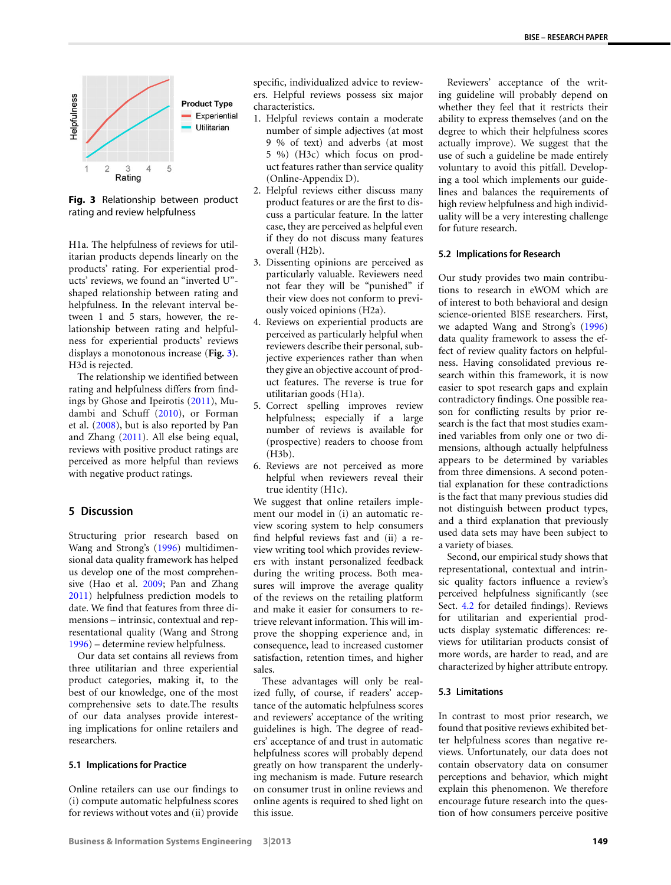<span id="page-8-1"></span>

**Fig. 3** Relationship between product rating and review helpfulness

H1a. The helpfulness of reviews for utilitarian products depends linearly on the products' rating. For experiential products' reviews, we found an "inverted U" shaped relationship between rating and helpfulness. In the relevant interval between 1 and 5 stars, however, the relationship between rating and helpfulness for experiential products' reviews displays a monotonous increase (**Fig. [3](#page-8-1)**). H3d is rejected.

<span id="page-8-0"></span>The relationship we identified between rating and helpfulness differs from findings by Ghose and Ipeirotis ([2011\)](#page-9-2), Mudambi and Schuff ([2010](#page-10-3)), or Forman et al. ([2008\)](#page-9-11), but is also reported by Pan and Zhang ([2011](#page-10-15)). All else being equal, reviews with positive product ratings are perceived as more helpful than reviews with negative product ratings.

#### **5 Discussion**

Structuring prior research based on Wang and Strong's ([1996](#page-10-0)) multidimensional data quality framework has helped us develop one of the most comprehensive (Hao et al. [2009;](#page-9-5) Pan and Zhang [2011\)](#page-10-15) helpfulness prediction models to date. We find that features from three dimensions – intrinsic, contextual and representational quality (Wang and Strong [1996\)](#page-10-0) – determine review helpfulness.

Our data set contains all reviews from three utilitarian and three experiential product categories, making it, to the best of our knowledge, one of the most comprehensive sets to date.The results of our data analyses provide interesting implications for online retailers and researchers.

#### **5.1 Implications for Practice**

Online retailers can use our findings to (i) compute automatic helpfulness scores for reviews without votes and (ii) provide specific, individualized advice to reviewers. Helpful reviews possess six major characteristics.

- 1. Helpful reviews contain a moderate number of simple adjectives (at most 9 % of text) and adverbs (at most 5 %) (H3c) which focus on product features rather than service quality (Online-Appendix D).
- 2. Helpful reviews either discuss many product features or are the first to discuss a particular feature. In the latter case, they are perceived as helpful even if they do not discuss many features overall (H2b).
- 3. Dissenting opinions are perceived as particularly valuable. Reviewers need not fear they will be "punished" if their view does not conform to previously voiced opinions (H2a).
- 4. Reviews on experiential products are perceived as particularly helpful when reviewers describe their personal, subjective experiences rather than when they give an objective account of product features. The reverse is true for utilitarian goods (H1a).
- 5. Correct spelling improves review helpfulness; especially if a large number of reviews is available for (prospective) readers to choose from (H3b).
- 6. Reviews are not perceived as more helpful when reviewers reveal their true identity (H1c).

We suggest that online retailers implement our model in (i) an automatic review scoring system to help consumers find helpful reviews fast and (ii) a review writing tool which provides reviewers with instant personalized feedback during the writing process. Both measures will improve the average quality of the reviews on the retailing platform and make it easier for consumers to retrieve relevant information. This will improve the shopping experience and, in consequence, lead to increased customer satisfaction, retention times, and higher sales.

These advantages will only be realized fully, of course, if readers' acceptance of the automatic helpfulness scores and reviewers' acceptance of the writing guidelines is high. The degree of readers' acceptance of and trust in automatic helpfulness scores will probably depend greatly on how transparent the underlying mechanism is made. Future research on consumer trust in online reviews and online agents is required to shed light on this issue.

Reviewers' acceptance of the writing guideline will probably depend on whether they feel that it restricts their ability to express themselves (and on the degree to which their helpfulness scores actually improve). We suggest that the use of such a guideline be made entirely voluntary to avoid this pitfall. Developing a tool which implements our guidelines and balances the requirements of high review helpfulness and high individuality will be a very interesting challenge for future research.

#### **5.2 Implications for Research**

Our study provides two main contributions to research in eWOM which are of interest to both behavioral and design science-oriented BISE researchers. First, we adapted Wang and Strong's [\(1996\)](#page-10-0) data quality framework to assess the effect of review quality factors on helpfulness. Having consolidated previous research within this framework, it is now easier to spot research gaps and explain contradictory findings. One possible reason for conflicting results by prior research is the fact that most studies examined variables from only one or two dimensions, although actually helpfulness appears to be determined by variables from three dimensions. A second potential explanation for these contradictions is the fact that many previous studies did not distinguish between product types, and a third explanation that previously used data sets may have been subject to a variety of biases.

Second, our empirical study shows that representational, contextual and intrinsic quality factors influence a review's perceived helpfulness significantly (see Sect. [4.2](#page-5-2) for detailed findings). Reviews for utilitarian and experiential products display systematic differences: reviews for utilitarian products consist of more words, are harder to read, and are characterized by higher attribute entropy.

#### **5.3 Limitations**

In contrast to most prior research, we found that positive reviews exhibited better helpfulness scores than negative reviews. Unfortunately, our data does not contain observatory data on consumer perceptions and behavior, which might explain this phenomenon. We therefore encourage future research into the question of how consumers perceive positive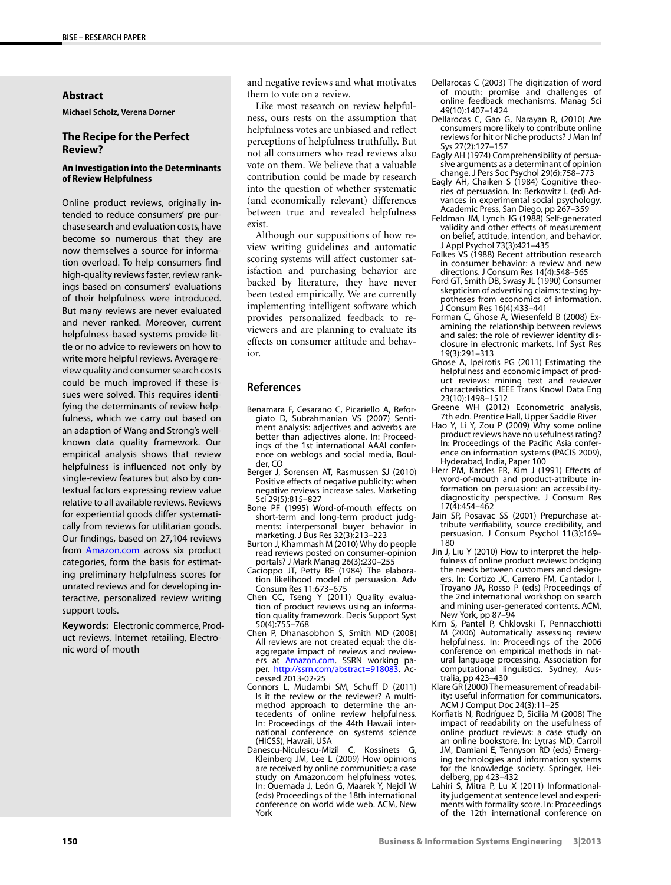#### **Abstract**

**Michael Scholz, Verena Dorner**

#### **The Recipe for the Perfect Review?**

#### **An Investigation into the Determinants of Review Helpfulness**

Online product reviews, originally intended to reduce consumers' pre-purchase search and evaluation costs, have become so numerous that they are now themselves a source for information overload. To help consumers find high-quality reviews faster, review rankings based on consumers' evaluations of their helpfulness were introduced. But many reviews are never evaluated and never ranked. Moreover, current helpfulness-based systems provide little or no advice to reviewers on how to write more helpful reviews. Average review quality and consumer search costs could be much improved if these issues were solved. This requires identifying the determinants of review helpfulness, which we carry out based on an adaption of Wang and Strong's wellknown data quality framework. Our empirical analysis shows that review helpfulness is influenced not only by single-review features but also by contextual factors expressing review value relative to all available reviews. Reviews for experiential goods differ systematically from reviews for utilitarian goods. Our findings, based on 27,104 reviews from [Amazon.com](http://Amazon.com) across six product categories, form the basis for estimating preliminary helpfulness scores for unrated reviews and for developing interactive, personalized review writing support tools.

**Keywords:** Electronic commerce, Product reviews, Internet retailing, Electronic word-of-mouth

and negative reviews and what motivates them to vote on a review.

Like most research on review helpfulness, ours rests on the assumption that helpfulness votes are unbiased and reflect perceptions of helpfulness truthfully. But not all consumers who read reviews also vote on them. We believe that a valuable contribution could be made by research into the question of whether systematic (and economically relevant) differences between true and revealed helpfulness exist.

<span id="page-9-22"></span>Although our suppositions of how review writing guidelines and automatic scoring systems will affect customer satisfaction and purchasing behavior are backed by literature, they have never been tested empirically. We are currently implementing intelligent software which provides personalized feedback to reviewers and are planning to evaluate its effects on consumer attitude and behavior.

#### <span id="page-9-16"></span>**References**

- <span id="page-9-15"></span>Benamara F, Cesarano C, Picariello A, Reforgiato D, Subrahmanian VS (2007) Sentiment analysis: adjectives and adverbs are better than adjectives alone. In: Proceedings of the 1st international AAAI conference on weblogs and social media, Boulder, CO
- <span id="page-9-18"></span><span id="page-9-8"></span>Berger J, Sorensen AT, Rasmussen SJ (2010) Positive effects of negative publicity: when negative reviews increase sales. Marketing Sci 29(5):815–827
- <span id="page-9-6"></span>Bone PF (1995) Word-of-mouth effects on short-term and long-term product judgments: interpersonal buyer behavior in marketing. J Bus Res 32(3):213-223
- <span id="page-9-0"></span>Burton J, Khammash M (2010) Why do people read reviews posted on consumer-opinion portals? J Mark Manag 26(3):230–255
- Cacioppo JT, Petty RE (1984) The elaboration likelihood model of persuasion. Adv Consum Res 11:673–675
- Chen CC, Tseng Y (2011) Quality evaluation of product reviews using an information quality framework. Decis Support Syst 50(4):755–768
- <span id="page-9-12"></span>Chen P, Dhanasobhon S, Smith MD (2008) All reviews are not created equal: the disaggregate impact of reviews and reviewers at [Amazon.com](http://Amazon.com). SSRN working paper. <http://ssrn.com/abstract=918083>. Accessed 2013-02-25
- Connors L, Mudambi SM, Schuff D (2011) Is it the review or the reviewer? A multimethod approach to determine the antecedents of online review helpfulness. In: Proceedings of the 44th Hawaii international conference on systems science (HICSS), Hawaii, USA
- Danescu-Niculescu-Mizil C, Kossinets G, Kleinberg JM, Lee L (2009) How opinions are received by online communities: a case study on Amazon.com helpfulness votes. In: Quemada J, León G, Maarek Y, Nejdl W (eds) Proceedings of the 18th international conference on world wide web. ACM, New York
- <span id="page-9-17"></span><span id="page-9-14"></span><span id="page-9-9"></span><span id="page-9-1"></span>Dellarocas C (2003) The digitization of word of mouth: promise and challenges of online feedback mechanisms. Manag Sci 49(10):1407–1424
- <span id="page-9-20"></span>Dellarocas C, Gao G, Narayan R, (2010) Are consumers more likely to contribute online reviews for hit or Niche products? J Man Inf Sys 27(2):127–157
- <span id="page-9-4"></span>Eagly AH (1974) Comprehensibility of persuasive arguments as a determinant of opinion change. J Pers Soc Psychol 29(6):758–773
- <span id="page-9-3"></span>Eagly AH, Chaiken S (1984) Cognitive theories of persuasion. In: Berkowitz L (ed) Advances in experimental social psychology. Academic Press, San Diego, pp 267–359
- <span id="page-9-11"></span>Feldman JM, Lynch JG (1988) Self-generated validity and other effects of measurement on belief, attitude, intention, and behavior. J Appl Psychol 73(3):421–435
- <span id="page-9-2"></span>Folkes VS (1988) Recent attribution research in consumer behavior: a review and new directions. J Consum Res 14(4):548–565
- Ford GT, Smith DB, Swasy JL (1990) Consumer skepticism of advertising claims: testing hypotheses from economics of information. J Consum Res 16(4):433–441
- <span id="page-9-24"></span><span id="page-9-5"></span>Forman C, Ghose A, Wiesenfeld B (2008) Examining the relationship between reviews and sales: the role of reviewer identity disclosure in electronic markets. Inf Syst Res 19(3):291–313
- <span id="page-9-21"></span>Ghose A, Ipeirotis PG (2011) Estimating the helpfulness and economic impact of product reviews: mining text and reviewer characteristics. IEEE Trans Knowl Data Eng 23(10):1498–1512
- <span id="page-9-10"></span>Greene WH (2012) Econometric analysis, 7th edn. Prentice Hall, Upper Saddle River
- Hao Y, Li Y, Zou P (2009) Why some online product reviews have no usefulness rating? In: Proceedings of the Pacific Asia conference on information systems (PACIS 2009), Hyderabad, India, Paper 100
- <span id="page-9-7"></span>Herr PM, Kardes FR, Kim J (1991) Effects of word-of-mouth and product-attribute information on persuasion: an accessibilitydiagnosticity perspective. J Consum Res 17(4):454–462
- Jain SP, Posavac SS (2001) Prepurchase attribute verifiability, source credibility, and persuasion. J Consum Psychol 11(3):169– 180
- <span id="page-9-19"></span>Jin J, Liu Y (2010) How to interpret the helpfulness of online product reviews: bridging the needs between customers and designers. In: Cortizo JC, Carrero FM, Cantador I, Troyano JA, Rosso P (eds) Proceedings of the 2nd international workshop on search and mining user-generated contents. ACM, New York, pp 87–94
- <span id="page-9-13"></span>Kim S, Pantel P, Chklovski T, Pennacchiotti M (2006) Automatically assessing review helpfulness. In: Proceedings of the 2006 conference on empirical methods in natural language processing. Association for computational linguistics. Sydney, Australia, pp 423–430
- <span id="page-9-23"></span>Klare GR (2000) The measurement of readability: useful information for communicators. ACM J Comput Doc 24(3):11–25
- Korfiatis N, Rodríguez D, Sicilia M (2008) The impact of readability on the usefulness of online product reviews: a case study on an online bookstore. In: Lytras MD, Carroll JM, Damiani E, Tennyson RD (eds) Emerging technologies and information systems for the knowledge society. Springer, Heidelberg, pp 423–432
- Lahiri S, Mitra P, Lu X (2011) Informationality judgement at sentence level and experiments with formality score. In: Proceedings of the 12th international conference on